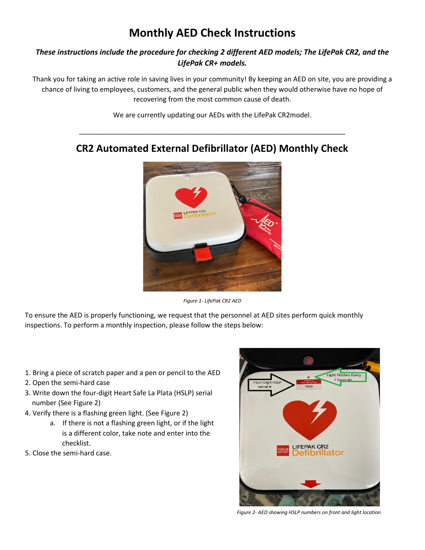# **Monthly AED Check Instructions**

### *These instructions include the procedure for checking 2 different AED models; The LifePak CR2, and the LifePak CR+ models.*

Thank you for taking an active role in saving lives in your community! By keeping an AED on site, you are providing a chance of living to employees, customers, and the general public when they would otherwise have no hope of recovering from the most common cause of death.

We are currently updating our AEDs with the LifePak CR2model.

\_\_\_\_\_\_\_\_\_\_\_\_\_\_\_\_\_\_\_\_\_\_\_\_\_\_\_\_\_\_\_\_\_\_\_\_\_\_\_\_\_\_\_\_\_\_\_\_\_\_\_\_\_\_\_\_\_\_\_\_\_\_\_\_\_\_\_\_\_\_



## **CR2 Automated External Defibrillator (AED) Monthly Check**

*Figure 1- LifePak CR2 AED*

To ensure the AED is properly functioning, we request that the personnel at AED sites perform quick monthly inspections. To perform a monthly inspection, please follow the steps below:

- 1. Bring a piece of scratch paper and a pen or pencil to the AED
- 2. Open the semi-hard case
- 3. Write down the four-digit Heart Safe La Plata (HSLP) serial number (See Figure 2)
- 4. Verify there is a flashing green light. (See Figure 2)
	- a. If there is not a flashing green light, or if the light is a different color, take note and enter into the checklist.
- 5. Close the semi-hard case.



*Figure 2- AED showing HSLP numbers on front and light location*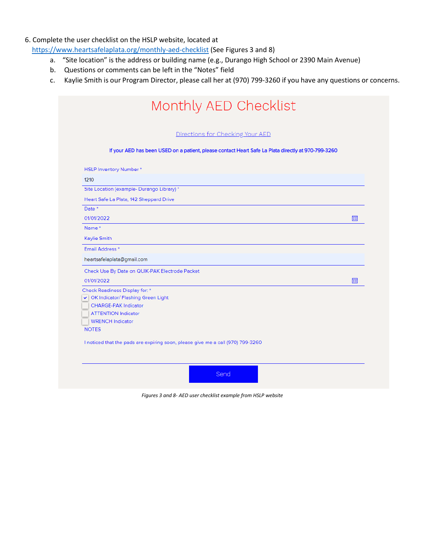#### 6. Complete the user checklist on the HSLP website, located at

<https://www.heartsafelaplata.org/monthly-aed-checklist> (See Figures 3 and 8)

- a. "Site location" is the address or building name (e.g., Durango High School or 2390 Main Avenue)
- b. Questions or comments can be left in the "Notes" field
- c. Kaylie Smith is our Program Director, please call her at (970) 799-3260 if you have any questions or concerns.

|                                            | Directions for Checking Your AED                                                                    |  |
|--------------------------------------------|-----------------------------------------------------------------------------------------------------|--|
|                                            | If your AED has been USED on a patient, please contact Heart Safe La Plata directly at 970-799-3260 |  |
| <b>HSLP Inventory Number*</b>              |                                                                                                     |  |
| 1210                                       |                                                                                                     |  |
| Site Location (example- Durango Library) * |                                                                                                     |  |
| Heart Safe La Plata, 142 Sheppard Drive    |                                                                                                     |  |
| Date <sup>*</sup>                          |                                                                                                     |  |
| 01/01/2022                                 |                                                                                                     |  |
| Name*                                      |                                                                                                     |  |
| Kaylie Smith                               |                                                                                                     |  |
| Email Address <sup>*</sup>                 |                                                                                                     |  |
| heartsafelaplata@gmail.com                 |                                                                                                     |  |
|                                            | Check Use By Date on QUIK-PAK Electrode Packet                                                      |  |
| 01/01/2022                                 |                                                                                                     |  |
| Check Readiness Display for: *             |                                                                                                     |  |
| v   OK Indicator/ Flashing Green Light     |                                                                                                     |  |
| <b>CHARGE-PAK Indicator</b>                |                                                                                                     |  |
| <b>ATTENTION Indicator</b>                 |                                                                                                     |  |
| <b>WRENCH Indicator</b>                    |                                                                                                     |  |
| <b>NOTES</b>                               |                                                                                                     |  |
|                                            | I noticed that the pads are expiring soon, please give me a call (970) 799-3260                     |  |
|                                            |                                                                                                     |  |

*Figures 3 and 8- AED user checklist example from HSLP website*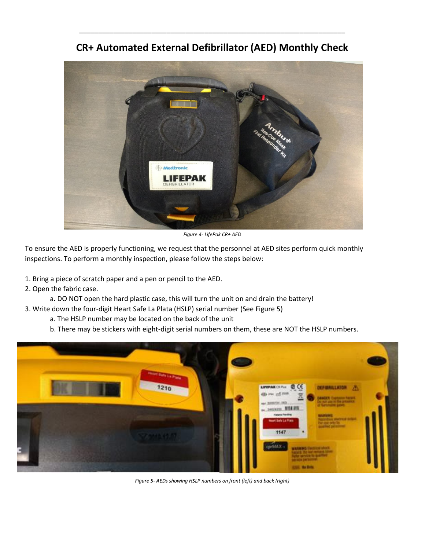

**CR+ Automated External Defibrillator (AED) Monthly Check**

\_\_\_\_\_\_\_\_\_\_\_\_\_\_\_\_\_\_\_\_\_\_\_\_\_\_\_\_\_\_\_\_\_\_\_\_\_\_\_\_\_\_\_\_\_\_\_\_\_\_\_\_\_\_\_\_\_\_\_\_\_\_\_\_\_\_\_\_\_\_

*Figure 4- LifePak CR+ AED*

To ensure the AED is properly functioning, we request that the personnel at AED sites perform quick monthly inspections. To perform a monthly inspection, please follow the steps below:

1. Bring a piece of scratch paper and a pen or pencil to the AED.

2. Open the fabric case.

a. DO NOT open the hard plastic case, this will turn the unit on and drain the battery!

3. Write down the four-digit Heart Safe La Plata (HSLP) serial number (See Figure 5)

a. The HSLP number may be located on the back of the unit

b. There may be stickers with eight-digit serial numbers on them, these are NOT the HSLP numbers.

![](_page_2_Picture_10.jpeg)

*Figure 5- AEDs showing HSLP numbers on front (left) and back (right)*